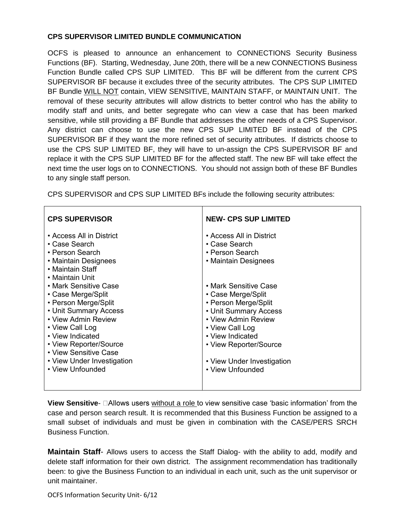## **CPS SUPERVISOR LIMITED BUNDLE COMMUNICATION**

OCFS is pleased to announce an enhancement to CONNECTIONS Security Business Functions (BF). Starting, Wednesday, June 20th, there will be a new CONNECTIONS Business Function Bundle called CPS SUP LIMITED. This BF will be different from the current CPS SUPERVISOR BF because it excludes three of the security attributes. The CPS SUP LIMITED BF Bundle WILL NOT contain, VIEW SENSITIVE, MAINTAIN STAFF, or MAINTAIN UNIT. The removal of these security attributes will allow districts to better control who has the ability to modify staff and units, and better segregate who can view a case that has been marked sensitive, while still providing a BF Bundle that addresses the other needs of a CPS Supervisor. Any district can choose to use the new CPS SUP LIMITED BF instead of the CPS SUPERVISOR BF if they want the more refined set of security attributes. If districts choose to use the CPS SUP LIMITED BF, they will have to un-assign the CPS SUPERVISOR BF and replace it with the CPS SUP LIMITED BF for the affected staff. The new BF will take effect the next time the user logs on to CONNECTIONS. You should not assign both of these BF Bundles to any single staff person.

CPS SUPERVISOR and CPS SUP LIMITED BFs include the following security attributes:

| <b>CPS SUPERVISOR</b>                                                                                                                                                                                                                                                                                                                                                                          | <b>NEW- CPS SUP LIMITED</b>                                                                                                                                                                                                                                                                                                    |
|------------------------------------------------------------------------------------------------------------------------------------------------------------------------------------------------------------------------------------------------------------------------------------------------------------------------------------------------------------------------------------------------|--------------------------------------------------------------------------------------------------------------------------------------------------------------------------------------------------------------------------------------------------------------------------------------------------------------------------------|
| • Access All in District<br>• Case Search<br>• Person Search<br>• Maintain Designees<br>• Maintain Staff<br>• Maintain Unit<br>• Mark Sensitive Case<br>• Case Merge/Split<br>• Person Merge/Split<br>• Unit Summary Access<br>• View Admin Review<br>• View Call Log<br>• View Indicated<br>• View Reporter/Source<br>• View Sensitive Case<br>• View Under Investigation<br>• View Unfounded | • Access All in District<br>• Case Search<br>• Person Search<br>• Maintain Designees<br>• Mark Sensitive Case<br>• Case Merge/Split<br>• Person Merge/Split<br>• Unit Summary Access<br>• View Admin Review<br>• View Call Log<br>• View Indicated<br>• View Reporter/Source<br>• View Under Investigation<br>• View Unfounded |
|                                                                                                                                                                                                                                                                                                                                                                                                |                                                                                                                                                                                                                                                                                                                                |

**View Sensitive-**  $\Box$  Allows users without a role to view sensitive case 'basic information' from the case and person search result. It is recommended that this Business Function be assigned to a small subset of individuals and must be given in combination with the CASE/PERS SRCH Business Function.

**Maintain Staff**- Allows users to access the Staff Dialog- with the ability to add, modify and delete staff information for their own district. The assignment recommendation has traditionally been: to give the Business Function to an individual in each unit, such as the unit supervisor or unit maintainer.

OCFS Information Security Unit- 6/12